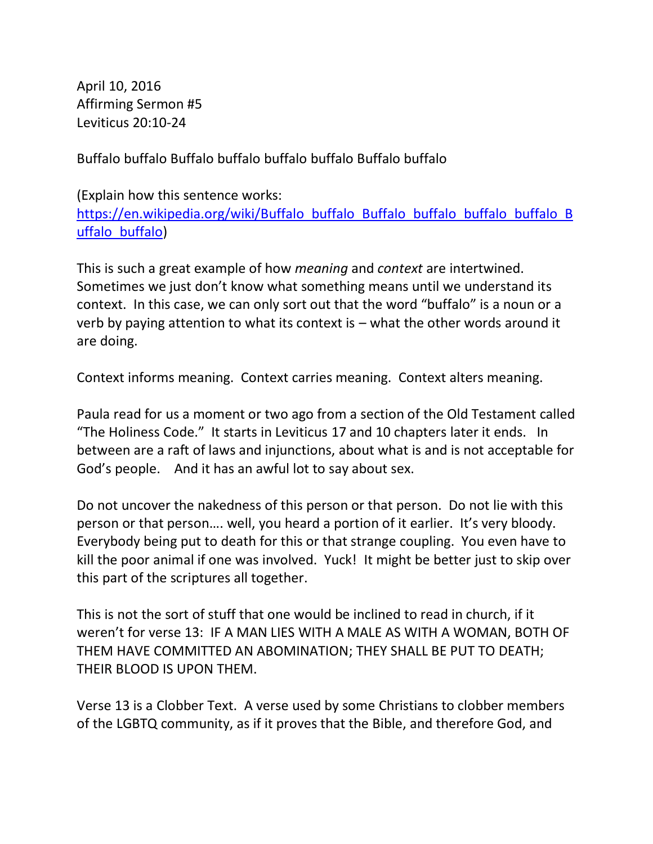April 10, 2016 Affirming Sermon #5 Leviticus 20:10-24

Buffalo buffalo Buffalo buffalo buffalo buffalo Buffalo buffalo

(Explain how this sentence works: https://en.wikipedia.org/wiki/Buffalo\_buffalo\_Buffalo\_buffalo\_buffalo\_B [uffalo\\_buffalo\)](https://en.wikipedia.org/wiki/Buffalo_buffalo_Buffalo_buffalo_buffalo_buffalo_Buffalo_buffalo)

This is such a great example of how *meaning* and *context* are intertwined. Sometimes we just don't know what something means until we understand its context. In this case, we can only sort out that the word "buffalo" is a noun or a verb by paying attention to what its context is  $-$  what the other words around it are doing.

Context informs meaning. Context carries meaning. Context alters meaning.

Paula read for us a moment or two ago from a section of the Old Testament called "The Holiness Code." It starts in Leviticus 17 and 10 chapters later it ends. In between are a raft of laws and injunctions, about what is and is not acceptable for God's people. And it has an awful lot to say about sex.

Do not uncover the nakedness of this person or that person. Do not lie with this person or that person…. well, you heard a portion of it earlier. It's very bloody. Everybody being put to death for this or that strange coupling. You even have to kill the poor animal if one was involved. Yuck! It might be better just to skip over this part of the scriptures all together.

This is not the sort of stuff that one would be inclined to read in church, if it weren't for verse 13: IF A MAN LIES WITH A MALE AS WITH A WOMAN, BOTH OF THEM HAVE COMMITTED AN ABOMINATION; THEY SHALL BE PUT TO DEATH; THEIR BLOOD IS UPON THEM.

Verse 13 is a Clobber Text. A verse used by some Christians to clobber members of the LGBTQ community, as if it proves that the Bible, and therefore God, and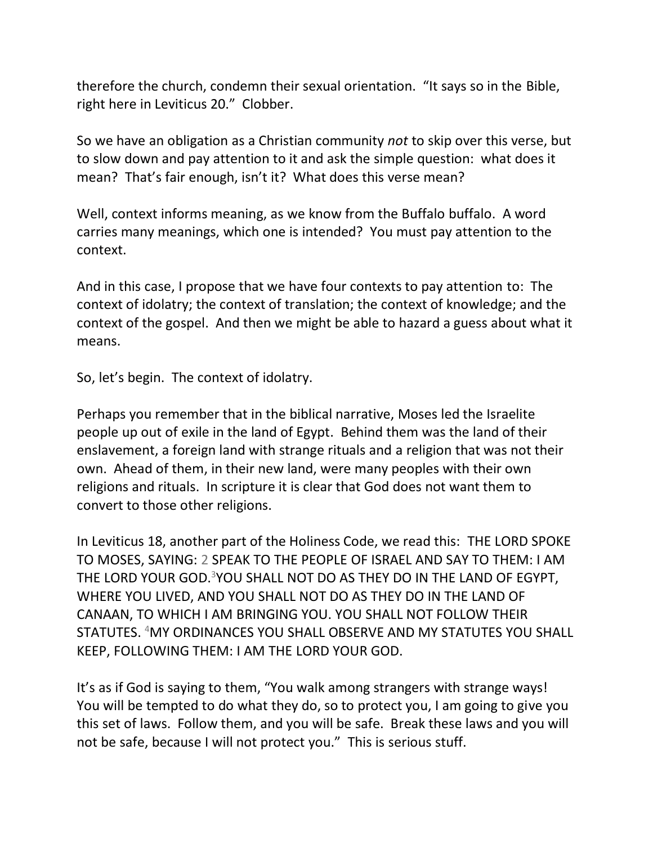therefore the church, condemn their sexual orientation. "It says so in the Bible, right here in Leviticus 20." Clobber.

So we have an obligation as a Christian community *not* to skip over this verse, but to slow down and pay attention to it and ask the simple question: what does it mean? That's fair enough, isn't it? What does this verse mean?

Well, context informs meaning, as we know from the Buffalo buffalo. A word carries many meanings, which one is intended? You must pay attention to the context.

And in this case, I propose that we have four contexts to pay attention to: The context of idolatry; the context of translation; the context of knowledge; and the context of the gospel. And then we might be able to hazard a guess about what it means.

So, let's begin. The context of idolatry.

Perhaps you remember that in the biblical narrative, Moses led the Israelite people up out of exile in the land of Egypt. Behind them was the land of their enslavement, a foreign land with strange rituals and a religion that was not their own. Ahead of them, in their new land, were many peoples with their own religions and rituals. In scripture it is clear that God does not want them to convert to those other religions.

In Leviticus 18, another part of the Holiness Code, we read this: THE LORD SPOKE TO MOSES, SAYING: 2 SPEAK TO THE PEOPLE OF ISRAEL AND SAY TO THEM: I AM THE LORD YOUR GOD.<sup>3</sup>YOU SHALL NOT DO AS THEY DO IN THE LAND OF EGYPT, WHERE YOU LIVED, AND YOU SHALL NOT DO AS THEY DO IN THE LAND OF CANAAN, TO WHICH I AM BRINGING YOU. YOU SHALL NOT FOLLOW THEIR STATUTES. <sup>4</sup>MY ORDINANCES YOU SHALL OBSERVE AND MY STATUTES YOU SHALL KEEP, FOLLOWING THEM: I AM THE LORD YOUR GOD.

It's as if God is saying to them, "You walk among strangers with strange ways! You will be tempted to do what they do, so to protect you, I am going to give you this set of laws. Follow them, and you will be safe. Break these laws and you will not be safe, because I will not protect you." This is serious stuff.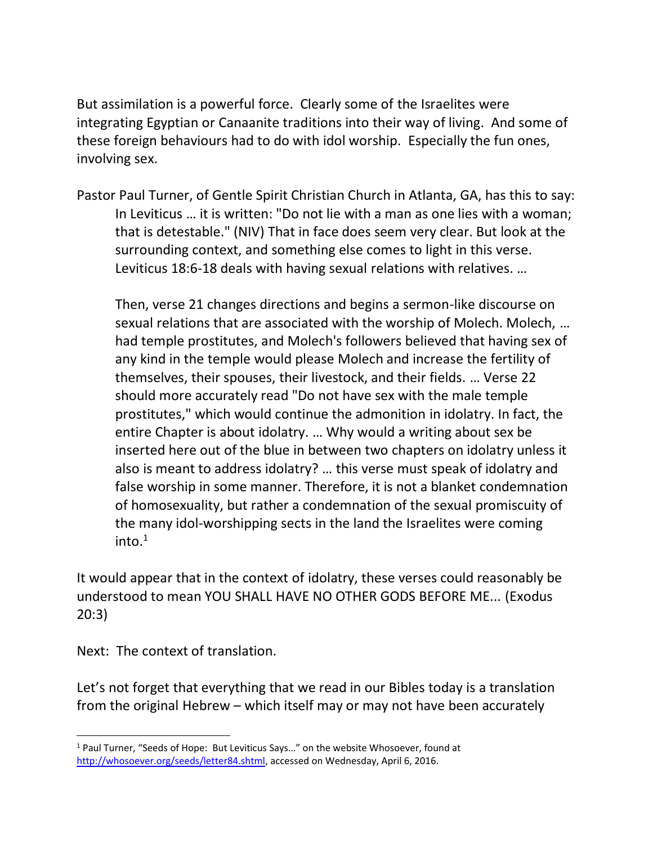But assimilation is a powerful force. Clearly some of the Israelites were integrating Egyptian or Canaanite traditions into their way of living. And some of these foreign behaviours had to do with idol worship. Especially the fun ones, involving sex.

Pastor Paul Turner, of Gentle Spirit Christian Church in Atlanta, GA, has this to say: In Leviticus … it is written: "Do not lie with a man as one lies with a woman; that is detestable." (NIV) That in face does seem very clear. But look at the surrounding context, and something else comes to light in this verse. Leviticus 18:6-18 deals with having sexual relations with relatives. …

Then, verse 21 changes directions and begins a sermon-like discourse on sexual relations that are associated with the worship of Molech. Molech, … had temple prostitutes, and Molech's followers believed that having sex of any kind in the temple would please Molech and increase the fertility of themselves, their spouses, their livestock, and their fields. … Verse 22 should more accurately read "Do not have sex with the male temple prostitutes," which would continue the admonition in idolatry. In fact, the entire Chapter is about idolatry. … Why would a writing about sex be inserted here out of the blue in between two chapters on idolatry unless it also is meant to address idolatry? … this verse must speak of idolatry and false worship in some manner. Therefore, it is not a blanket condemnation of homosexuality, but rather a condemnation of the sexual promiscuity of the many idol-worshipping sects in the land the Israelites were coming into. $1$ 

It would appear that in the context of idolatry, these verses could reasonably be understood to mean YOU SHALL HAVE NO OTHER GODS BEFORE ME... (Exodus 20:3)

Next: The context of translation.

Let's not forget that everything that we read in our Bibles today is a translation from the original Hebrew – which itself may or may not have been accurately

<sup>&</sup>lt;sup>1</sup> Paul Turner, "Seeds of Hope: But Leviticus Says..." on the website Whosoever, found at [http://whosoever.org/seeds/letter84.shtml,](http://whosoever.org/seeds/letter84.shtml) accessed on Wednesday, April 6, 2016.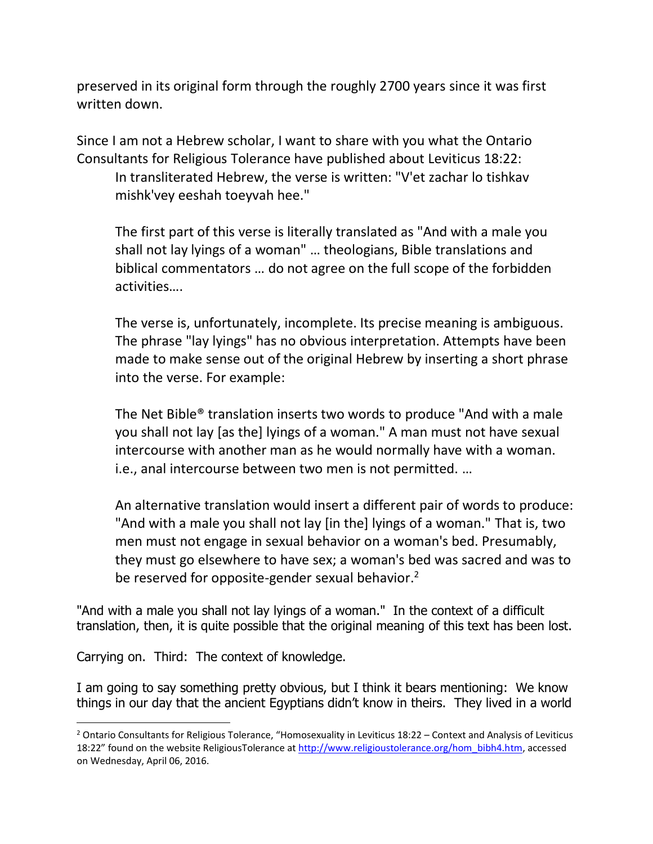preserved in its original form through the roughly 2700 years since it was first written down.

Since I am not a Hebrew scholar, I want to share with you what the Ontario Consultants for Religious Tolerance have published about Leviticus 18:22: In transliterated Hebrew, the verse is written: "V'et zachar lo tishkav mishk'vey eeshah toeyvah hee."

The first part of this verse is literally translated as "And with a male you shall not lay lyings of a woman" … theologians, Bible translations and biblical commentators … do not agree on the full scope of the forbidden activities….

The verse is, unfortunately, incomplete. Its precise meaning is ambiguous. The phrase "lay lyings" has no obvious interpretation. Attempts have been made to make sense out of the original Hebrew by inserting a short phrase into the verse. For example:

The Net Bible® translation inserts two words to produce "And with a male you shall not lay [as the] lyings of a woman." A man must not have sexual intercourse with another man as he would normally have with a woman. i.e., anal intercourse between two men is not permitted. …

An alternative translation would insert a different pair of words to produce: "And with a male you shall not lay [in the] lyings of a woman." That is, two men must not engage in sexual behavior on a woman's bed. Presumably, they must go elsewhere to have sex; a woman's bed was sacred and was to be reserved for opposite-gender sexual behavior.<sup>2</sup>

"And with a male you shall not lay lyings of a woman." In the context of a difficult translation, then, it is quite possible that the original meaning of this text has been lost.

Carrying on. Third: The context of knowledge.

I am going to say something pretty obvious, but I think it bears mentioning: We know things in our day that the ancient Egyptians didn't know in theirs. They lived in a world

 $2$  Ontario Consultants for Religious Tolerance, "Homosexuality in Leviticus 18:22 – Context and Analysis of Leviticus 18:22" found on the website ReligiousTolerance at [http://www.religioustolerance.org/hom\\_bibh4.htm,](http://www.religioustolerance.org/hom_bibh4.htm) accessed on Wednesday, April 06, 2016.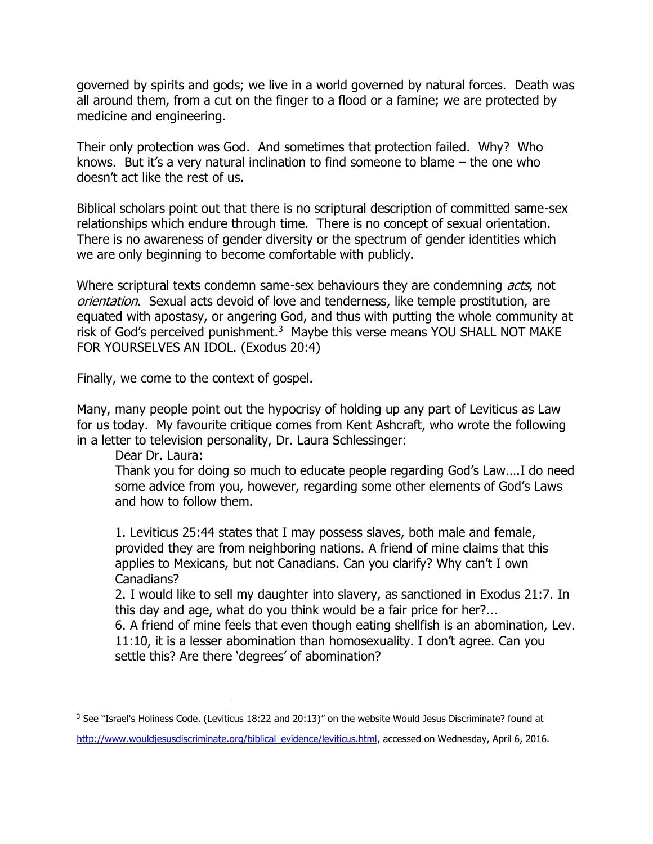governed by spirits and gods; we live in a world governed by natural forces. Death was all around them, from a cut on the finger to a flood or a famine; we are protected by medicine and engineering.

Their only protection was God. And sometimes that protection failed. Why? Who knows. But it's a very natural inclination to find someone to blame – the one who doesn't act like the rest of us.

Biblical scholars point out that there is no scriptural description of committed same-sex relationships which endure through time. There is no concept of sexual orientation. There is no awareness of gender diversity or the spectrum of gender identities which we are only beginning to become comfortable with publicly.

Where scriptural texts condemn same-sex behaviours they are condemning *acts*, not orientation. Sexual acts devoid of love and tenderness, like temple prostitution, are equated with apostasy, or angering God, and thus with putting the whole community at risk of God's perceived punishment.<sup>3</sup> Maybe this verse means YOU SHALL NOT MAKE FOR YOURSELVES AN IDOL. (Exodus 20:4)

Finally, we come to the context of gospel.

Many, many people point out the hypocrisy of holding up any part of Leviticus as Law for us today. My favourite critique comes from Kent Ashcraft, who wrote the following in a letter to television personality, Dr. Laura Schlessinger:

Dear Dr. Laura:

Thank you for doing so much to educate people regarding God's Law….I do need some advice from you, however, regarding some other elements of God's Laws and how to follow them.

1. Leviticus 25:44 states that I may possess slaves, both male and female, provided they are from neighboring nations. A friend of mine claims that this applies to Mexicans, but not Canadians. Can you clarify? Why can't I own Canadians?

2. I would like to sell my daughter into slavery, as sanctioned in Exodus 21:7. In this day and age, what do you think would be a fair price for her?...

6. A friend of mine feels that even though eating shellfish is an abomination, Lev. 11:10, it is a lesser abomination than homosexuality. I don't agree. Can you settle this? Are there 'degrees' of abomination?

<sup>3</sup> See "Israel's Holiness Code. (Leviticus 18:22 and 20:13)" on the website Would Jesus Discriminate? found at

[http://www.wouldjesusdiscriminate.org/biblical\\_evidence/leviticus.html,](http://www.wouldjesusdiscriminate.org/biblical_evidence/leviticus.html) accessed on Wednesday, April 6, 2016.